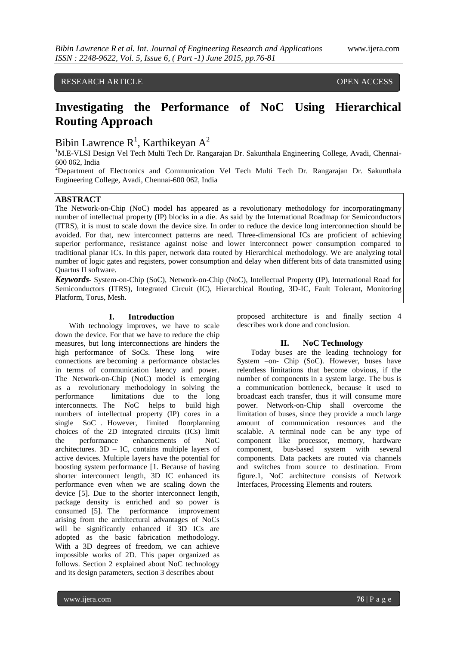# RESEARCH ARTICLE OPEN ACCESS

# **Investigating the Performance of NoC Using Hierarchical Routing Approach**

# Bibin Lawrence  $R^1$ , Karthikeyan  $A^2$

<sup>1</sup>M.E-VLSI Design Vel Tech Multi Tech Dr. Rangarajan Dr. Sakunthala Engineering College, Avadi, Chennai-600 062, India

<sup>2</sup>Department of Electronics and Communication Vel Tech Multi Tech Dr. Rangarajan Dr. Sakunthala Engineering College, Avadi, Chennai-600 062, India

# **ABSTRACT**

The Network-on-Chip (NoC) model has appeared as a revolutionary methodology for incorporatingmany number of intellectual property (IP) blocks in a die. As said by the International Roadmap for Semiconductors (ITRS), it is must to scale down the device size. In order to reduce the device long interconnection should be avoided. For that, new interconnect patterns are need. Three-dimensional ICs are proficient of achieving superior performance, resistance against noise and lower interconnect power consumption compared to traditional planar ICs. In this paper, network data routed by Hierarchical methodology. We are analyzing total number of logic gates and registers, power consumption and delay when different bits of data transmitted using Quartus II software.

*Keywords-* System-on-Chip (SoC), Network-on-Chip (NoC), Intellectual Property (IP), International Road for Semiconductors (ITRS), Integrated Circuit (IC), Hierarchical Routing, 3D-IC, Fault Tolerant, Monitoring Platform, Torus, Mesh.

# **I. Introduction**

With technology improves, we have to scale down the device. For that we have to reduce the chip measures, but long interconnections are hinders the high performance of SoCs. These long wire connections are becoming a performance obstacles in terms of communication latency and power. The Network-on-Chip (NoC) model is emerging as a revolutionary methodology in solving the performance limitations due to the long interconnects. The NoC helps to build high numbers of intellectual property (IP) cores in a single SoC . However, limited floorplanning choices of the 2D integrated circuits (ICs) limit the performance enhancements of NoC architectures.  $3D - IC$ , contains multiple layers of active devices. Multiple layers have the potential for boosting system performance [1. Because of having shorter interconnect length, 3D IC enhanced its performance even when we are scaling down the device [5]. Due to the shorter interconnect length, package density is enriched and so power is consumed [5]. The performance improvement arising from the architectural advantages of NoCs will be significantly enhanced if 3D ICs are adopted as the basic fabrication methodology. With a 3D degrees of freedom, we can achieve impossible works of 2D. This paper organized as follows. Section 2 explained about NoC technology and its design parameters, section 3 describes about

proposed architecture is and finally section 4 describes work done and conclusion.

#### **II. NoC Technology**

Today buses are the leading technology for System –on- Chip (SoC). However, buses have relentless limitations that become obvious, if the number of components in a system large. The bus is a communication bottleneck, because it used to broadcast each transfer, thus it will consume more power. Network-on-Chip shall overcome the limitation of buses, since they provide a much large amount of communication resources and the scalable. A terminal node can be any type of component like processor, memory, hardware component, bus-based system with several components. Data packets are routed via channels and switches from source to destination. From figure.1, NoC architecture consists of Network Interfaces, Processing Elements and routers.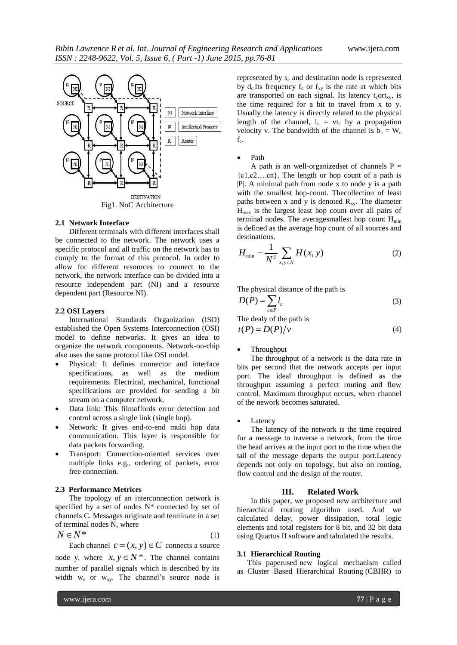

### **2.1 Network Interface**

Different terminals with different interfaces shall be connected to the network. The network uses a specific protocol and all traffic on the network has to comply to the format of this protocol. In order to allow for different resources to connect to the network, the network interface can be divided into a resource independent part (NI) and a resource dependent part (Resource NI).

#### **2.2 OSI Layers**

International Standards Organization (ISO) established the Open Systems Interconnection (OSI) model to define networks. It gives an idea to organize the network components. Network-on-chip also uses the same protocol like OSI model.

- Physical: It defines connector and interface specifications, as well as the medium requirements. Electrical, mechanical, functional specifications are provided for sending a bit stream on a computer network.
- Data link: This filmaffords error detection and control across a single link (single hop).
- Network: It gives end-to-end multi hop data communication. This layer is responsible for data packets forwarding.
- Transport: Connection-oriented services over multiple links e.g., ordering of packets, error free connection.

### **2.3 Performance Metrices**

The topology of an interconnection network is specified by a set of nodes  $N^*$  connected by set of channels C. Messages originate and terminate in a set of terminal nodes N, where

$$
N \in \mathbb{N}^* \tag{1}
$$

Each channel  $c = (x, y) \in C$  connects a source node y, where  $x, y \in N^*$ . The channel contains number of parallel signals which is described by its width  $w_c$  or  $w_{xy}$ . The channel's source node is

represented by  $s_c$  and destination node is represented by  $d_c$  Its frequency  $f_c$  or  $f_{xy}$  is the rate at which bits are transported on each signal. Its latency  $t_cort_{xy}$ , is the time required for a bit to travel from x to y. Usually the latency is directly related to the physical length of the channel,  $l_c = vt_c$  by a propagation velocity v. The bandwidth of the channel is  $b_c = W_c$  $f_c$ .

#### Path

A path is an well-organized set of channels  $P =$  ${c1, c2...cn}$ . The length or hop count of a path is |P|. A minimal path from node x to node y is a path with the smallest hop-count. Thecollection of least paths between x and y is denoted  $R_{xy}$ . The diameter  $H<sub>max</sub>$  is the largest least hop count over all pairs of terminal nodes. The averagesmallest hop count  $H_{min}$ is defined as the average hop count of all sources and destinations.

$$
H_{\min} = \frac{1}{N^2} \sum_{x, y \in N} H(x, y)
$$
 (2)

The physical distance of the path is

$$
D(P) = \sum_{c \in P} l_c \tag{3}
$$

The dealy of the path is

$$
t(P) = D(P)/v \tag{4}
$$

# Throughput

The throughput of a network is the data rate in bits per second that the network accepts per input port. The ideal throughput is defined as the throughput assuming a perfect routing and flow control. Maximum throughput occurs, when channel of the nework becomes saturated.

#### Latency

The latency of the network is the time required for a message to traverse a network, from the time the head arrives at the input port to the time when the tail of the message departs the output port.Latency depends not only on topology, but also on routing, flow control and the design of the router.

# **III. Related Work**

In this paper, we proposed new architecture and hierarchical routing algorithm used. And we calculated delay, power dissipation, total logic elements and total registers for 8 bit, and 32 bit data using Quartus II software and tabulated the results.

# **3.1 Hierarchical Routing**

This paperused new logical mechanism called as Cluster Based Hierarchical Routing (CBHR) to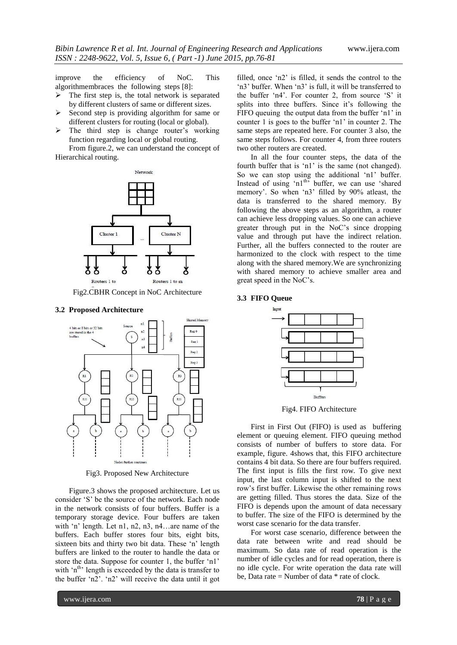improve the efficiency of NoC. This algorithmembraces the following steps [8]:

- $\triangleright$  The first step is, the total network is separated by different clusters of same or different sizes.
- $\triangleright$  Second step is providing algorithm for same or different clusters for routing (local or global).
- $\triangleright$  The third step is change router's working function regarding local or global routing.

From figure.2, we can understand the concept of Hierarchical routing.



Fig2.CBHR Concept in NoC Architecture

#### **3.2 Proposed Architecture**



Fig3. Proposed New Architecture

Figure.3 shows the proposed architecture. Let us consider "S" be the source of the network. Each node in the network consists of four buffers. Buffer is a temporary storage device. Four buffers are taken with 'n' length. Let n1, n2, n3, n4...are name of the buffers. Each buffer stores four bits, eight bits, sixteen bits and thirty two bit data. These 'n' length buffers are linked to the router to handle the data or store the data. Suppose for counter 1, the buffer "n1" with  $\int$ <sup>th</sup> length is exceeded by the data is transfer to the buffer 'n2'. 'n2' will receive the data until it got

filled, once "n2" is filled, it sends the control to the 'n3' buffer. When 'n3' is full, it will be transferred to the buffer 'n4'. For counter 2, from source 'S' it splits into three buffers. Since it's following the FIFO queuing the output data from the buffer 'n1' in counter 1 is goes to the buffer "n1" in counter 2. The same steps are repeated here. For counter 3 also, the same steps follows. For counter 4, from three routers two other routers are created.

In all the four counter steps, the data of the fourth buffer that is 'n1' is the same (not changed). So we can stop using the additional 'n1' buffer. Instead of using 'n1<sup>th'</sup> buffer, we can use 'shared memory'. So when 'n3' filled by 90% atleast, the data is transferred to the shared memory. By following the above steps as an algorithm, a router can achieve less dropping values. So one can achieve greater through put in the NoC"s since dropping value and through put have the indirect relation. Further, all the buffers connected to the router are harmonized to the clock with respect to the time along with the shared memory.We are synchronizing with shared memory to achieve smaller area and great speed in the NoC"s.

# **3.3 FIFO Queue**



Fig4. FIFO Architecture

First in First Out (FIFO) is used as buffering element or queuing element. FIFO queuing method consists of number of buffers to store data. For example, figure. 4shows that, this FIFO architecture contains 4 bit data. So there are four buffers required. The first input is fills the first row. To give next input, the last column input is shifted to the next row"s first buffer. Likewise the other remaining rows are getting filled. Thus stores the data. Size of the FIFO is depends upon the amount of data necessary to buffer. The size of the FIFO is determined by the worst case scenario for the data transfer.

For worst case scenario, difference between the data rate between write and read should be maximum. So data rate of read operation is the number of idle cycles and for read operation, there is no idle cycle. For write operation the data rate will be. Data rate  $=$  Number of data  $*$  rate of clock.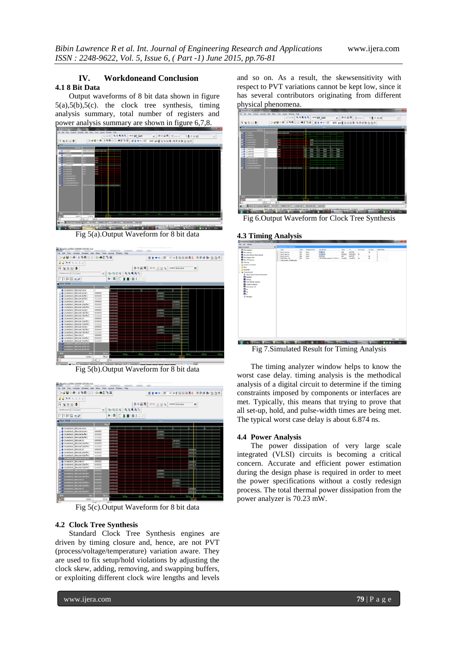# **IV. Workdoneand Conclusion 4.1 8 Bit Data**

Output waveforms of 8 bit data shown in figure 5(a),5(b),5(c). the clock tree synthesis, timing analysis summary, total number of registers and power analysis summary are shown in figure 6,7,8.



Fig 5(a).Output Waveform for 8 bit data



Fig 5(b).Output Waveform for 8 bit data



Fig 5(c).Output Waveform for 8 bit data

# **4.2 Clock Tree Synthesis**

Standard Clock Tree Synthesis engines are driven by timing closure and, hence, are not PVT (process/voltage/temperature) variation aware. They are used to fix setup/hold violations by adjusting the clock skew, adding, removing, and swapping buffers, or exploiting different clock wire lengths and levels

and so on. As a result, the skewsensitivity with respect to PVT variations cannot be kept low, since it has several contributors originating from different physical phenomena.



Fig 6.Output Waveform for Clock Tree Synthesis

# **4.3 Timing Analysis**



Fig 7.Simulated Result for Timing Analysis

The timing analyzer window helps to know the worst case delay. timing analysis is the methodical analysis of a digital circuit to determine if the timing constraints imposed by components or interfaces are met. Typically, this means that trying to prove that all set-up, hold, and pulse-width times are being met. The typical worst case delay is about 6.874 ns.

# **4.4 Power Analysis**

The power dissipation of very large scale integrated (VLSI) circuits is becoming a critical concern. Accurate and efficient power estimation during the design phase is required in order to meet the power specifications without a costly redesign process. The total thermal power dissipation from the power analyzer is 70.23 mW.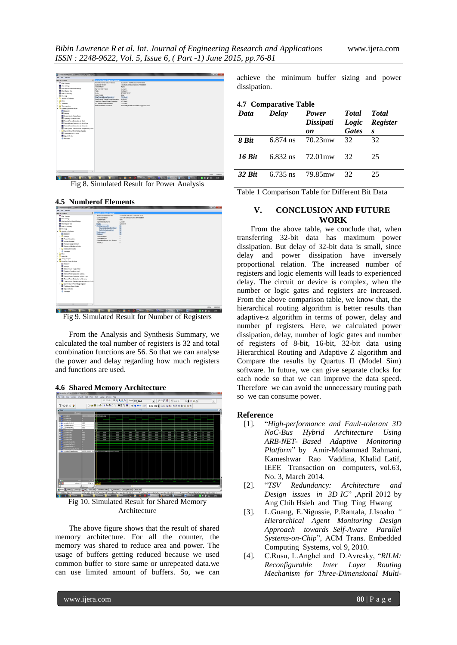

Fig 8. Simulated Result for Power Analysis

## **4.5 Numberof Elements**



Fig 9. Simulated Result for Number of Registers

From the Analysis and Synthesis Summary, we calculated the toal number of registers is 32 and total combination functions are 56. So that we can analyse the power and delay regarding how much registers and functions are used.

# **4.6 Shared Memory Architecture**



Fig 10. Simulated Result for Shared Memory Architecture

The above figure shows that the result of shared memory architecture. For all the counter, the memory was shared to reduce area and power. The usage of buffers getting reduced because we used common buffer to store same or unrepeated data.we can use limited amount of buffers. So, we can

achieve the minimum buffer sizing and power dissipation.

**4.7 Comparative Table**

| Data   | Delay      | Power<br>Dissipati | <b>Total</b><br>Logic | <b>Total</b><br><b>Register</b> |
|--------|------------|--------------------|-----------------------|---------------------------------|
|        |            | on                 | <b>Gates</b>          | $\boldsymbol{s}$                |
| 8 Bit  | $6.874$ ns | 70.23mw            | 32                    | 32                              |
| 16 Rit | $6.832$ ns | 72.01 mw           | 32.                   | 25                              |
| 32 Rit | 6.735 ns   | 79.85mw            | 32                    | 25                              |

Table 1 Comparison Table for Different Bit Data

# **V. CONCLUSION AND FUTURE WORK**

From the above table, we conclude that, when transferring 32-bit data has maximum power dissipation. But delay of 32-bit data is small, since delay and power dissipation have inversely proportional relation. The increased number of registers and logic elements will leads to experienced delay. The circuit or device is complex, when the number or logic gates and registers are increased. From the above comparison table, we know that, the hierarchical routing algorithm is better results than adaptive-z algorithm in terms of power, delay and number pf registers. Here, we calculated power dissipation, delay, number of logic gates and number of registers of 8-bit, 16-bit, 32-bit data using Hierarchical Routing and Adaptive Z algorithm and Compare the results by Quartus II (Model Sim) software. In future, we can give separate clocks for each node so that we can improve the data speed. Therefore we can avoid the unnecessary routing path so we can consume power.

# **Reference**

- [1]. "*High-performance and Fault-tolerant 3D NoC-Bus Hybrid Architecture Using ARB-NET- Based Adaptive Monitoring Platform*" by Amir-Mohammad Rahmani, Kameshwar Rao Vaddina, Khalid Latif, IEEE Transaction on computers, vol.63, No. 3, March 2014.
- [2]. "*TSV Redundancy: Architecture and Design issues in 3D IC*" ,April 2012 by Ang Chih Hsieh and Ting Ting Hwang
- [3]. L.Guang, E.Nigussie, P.Rantala, J.Isoaho *" Hierarchical Agent Monitoring Design Approach towards Self-Aware Parallel Systems-on-Chip*", ACM Trans. Embedded Computing Systems, vol 9, 2010.
- [4]. C.Rusu, L.Anghel and D.Avresky, "*RILM: Reconfigurable Inter Layer Routing Mechanism for Three-Dimensional Multi-*